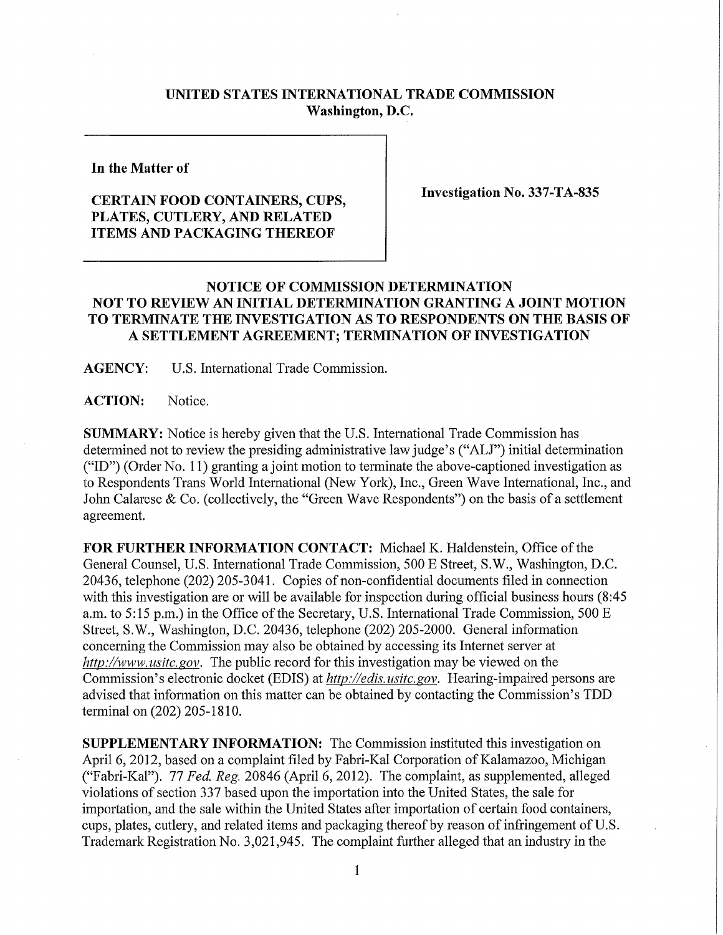## **UNITED STATES INTERNATIONAL TRADE COMMISSION Washington, D.C.**

**In the Matter of** 

## **CERTAIN FOOD CONTAINERS, CUPS, PLATES, CUTLERY , AND RELATE D ITEMS AND PACKAGING THEREOF**

**Investigation No. 337-TA-835** 

## **NOTICE OF COMMISSION DETERMINATION NOT TO REVIEW AN INITIAL DETERMINATION GRANTING A JOINT MOTION TO TERMINATE THE INVESTIGATION AS TO RESPONDENTS ON THE BASIS OF A SETTLEMENT AGREEMENT; TERMINATION OF INVESTIGATION**

**AGENCY:** U.S. International Trade Commission.

**ACTION:** Notice.

**SUMMARY:** Notice is hereby given that the U.S. International Trade Commission has determined not to review the presiding administrative law judge's ("ALJ") initial determination ("ID") (Order No. 11) granting a joint motion to terminate the above-captioned investigation as to Respondents Trans World International (New York), Inc., Green Wave International, Inc., and John Calarese & Co. (collectively, the "Green Wave Respondents") on the basis of a settlement agreement.

FOR FURTHER INFORMATION CONTACT: Michael K. Haldenstein, Office of the General Counsel, U.S. International Trade Commission, 500 E Street, S.W., Washington, D.C. 20436, telephone (202) 205-3041. Copies of non-confidential documents filed in connection with this investigation are or will be available for inspection during official business hours (8:45 a.m. to 5:15 p.m.) in the Office of the Secretary, U.S. International Trade Commission, 500 E Street, S.W., Washington, D.C. 20436, telephone (202) 205-2000. General information concerning the Commission may also be obtained by accessing its Internet server at *http://www. vsitc. gov.* The public record for this investigation may be viewed on the Commission's electronic docket (EDIS) at *http://edis.usitc.gov.* Hearing-impaired persons are advised that information on this matter can be obtained by contacting the Commission's TDD terminal on (202) 205-1810.

**SUPPLEMENTARY INFORMATION:** The Commission instituted this investigation on April 6, 2012, based on a complaint filed by Fabri-Kal Corporation of Kalamazoo, Michigan ("Fabri-Kal"). 77 *Fed. Reg.* 20846 (April 6, 2012). The complaint, as supplemented, alleged violations of section 337 based upon the importation into the United States, the sale for importation, and the sale within the United States after importation of certain food containers, cups, plates, cutlery, and related items and packaging thereof by reason of infringement of U.S. Trademark Registration No. 3,021,945. The complaint further alleged that an industry in the